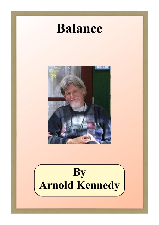# **Balance**



**By Arnold Kennedy**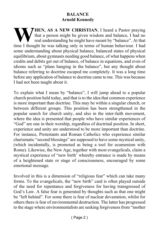#### **BALANCE Arnold Kennedy**

**THEN, AS A NEW CHRISTIAN**, I heard a Pastor praying that a person might be given wisdom and balance, I had no real understanding he might have meant by "balance". At that time I thought he was talking only in terms of human behaviour. I had some understanding about physical balance, balanced states of physical equilibrium, about gymnasts needing good balance, of what happens when credits and debits get out of balance, of balance in equations, and even of idioms such as "plans hanging in the balance", but any thought about balance referring to doctrine escaped me completely. It was a long time before any application of balance to doctrine came to me. This was because I had not been taught about it.

To explain what I mean by "balance", I will jump ahead to a popular church position held today, and that is to the idea that common experience is more important than doctrine. This may be within a singular church, or between different groups. This position has been strengthened in the popular search for church unity, and also in the inter-faith movement, where the idea is presented that people who have similar experiences of "God" are one in their worship, regardless of doctrinal position. In short, experience and unity are understood to be more important than doctrine. For instance, Protestants and Roman Catholics who experience similar charismatic "second blessings" are supposed to have some mystical unity, (which incidentally, is promoted as being a tool for ecumenism with Rome). Likewise, the New Age, together with most evangelicals, claim a mystical experience of "new birth' whereby entrance is made by means of a heightened state or stage of consciousness, encouraged by some emotional message.

Involved in this is a dimension of "religious fear" which can take many forms. To the evangelicals, the "new birth" card is often played outside of the need for repentance and forgiveness for having transgressed of God's Law. A false fear is generated by thoughts such as that one might be "left behind". For some there is fear of nuclear devastation, whilst for others there is fear of environmental destruction. The latter has progressed to the stage where environmentalists are seeking forgiveness from "mother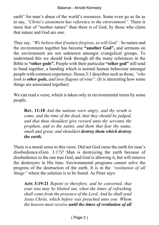earth" for man's abuse of the world's resources. Some even go as far as to say, *"Christ's atonement has reference to the environment".* There is more fear of "mother nature" than there is of God, by those who claim that nature and God are one.

They say, *"We believe that if nature forgives, so will God".* So nature and the environment together has become **"another God",** and sermons on the environment are not unknown amongst evangelical groups. To understand this we should look through all the many references in the Bible to **"other gods".** People with their particular **"other god"** still tend to band together, a banding which is normal human behaviour amongst people with common experience. Hosea 3:1 describes such as those, *"who look to other gods, and love flagons of wine".* (It is interesting how some things are associated together).

We can read a verse, which is taken only in environmental terms by some people.

**Rev. 11:18** *And the nations were angry, and thy wrath is come, and the time of the dead, that they should be judged, and that thou shouldest give reward unto thy servants the prophets, and to the saints, and them that fear thy name, small and great; and shouldest destroy them which destroy the earth.*

There is a moral sense to this verse. Did not God curse the earth for man's disobedience-(Gen. 3:17)? Man is destroying the earth because of disobedience to the one true God, and God is allowing it, but will remove the destroyers in His time. Environmental programs cannot solve the progress of the destruction of the earth. It is in the *"restitution of all things"* where the solution is to be found. As Peter says:

**Acts 3:19-21** *Repent ye therefore, and be converted, that your sins may be blotted out, when the times of refreshing shall come from the presence of the Lord; And he shall send Jesus Christ, which before was preached unto you: Whom the heaven must receive until the times of restitution of all*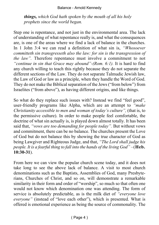*things, which God hath spoken by the mouth of all his holy prophets since the world began.*

Step one is repentance, and not just in the environmental area. The lack of understanding of what repentance really is, and what the consequences are, is one of the areas where we find a lack of balance in the churches. In 1 John 3:4 we can read a definition of what sin is, *"Whosoever committeth sin transgresseth also the law: for sin is the transgression of the law".* Therefore repentance must involve a commitment to not *"continue in sin that Grace may abound"-(Rom. 6:1).* It is hard to find any church willing to teach this rightly because they do not separate the different sections of the Law. They do not separate Talmudic Jewish law, the Law of God or law as a principle, when they handle the Word of God. They do not make the Biblical separation of the Jews ("from below") from Israelites ("from above"), as having different origins, and like things.

So what do they replace such issues with? Instead we find "feel good", user-friendly programs like Alpha, which are an attempt to *"make Christianity accessible to men and woman of today's culture",* (that is, to the permissive culture). In order to make people feel comfortable, the doctrine of what sin actually is, is played down almost totally. It has been said that, *"vows are too demanding for people today".* But without vows and commitment, there can be no balance. The churches present the Love of God but do not balance this by showing the true character of God as being Lawgiver and Righteous Judge, and that, *"The Lord shall judge his people. It is a fearful thing to fall into the hands of the living God"* –(**Heb. 10:30-31**).

From here we can view the popular church scene today, and it does not take long to see the above lack of balance. A visit to most church denominations such as the Baptists, Assemblies of God, many Presbyterians, Churches of Christ, and so on, will demonstrate a remarkable similarity in their form and order of "worship", so much so that often one would not know which denomination one was attending. The form of service is absolutely predictable, as is the milk diet of *"everyone love everyone"* (instead of "love each other"), which is presented. What is offered is emotional experience as being the source of commonality. The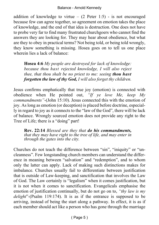addition of knowledge to virtue  $-$  (2 Peter 1:5) - is not encouraged because few can agree together, so agreement on emotion takes the place of knowledge, and the end of that idea is destruction. One does not have to probe very far to find many frustrated churchgoers who cannot find the answers they are looking for. They may hear about obedience, but what are they to obey in practical terms? Not being told, or being told wrongly, they know something is missing. Hosea goes on to tell us one place wherein lies a lack of balance:

**Hosea 4:6** *My people are destroyed for lack of knowledge: because thou hast rejected knowledge, I will also reject thee, that thou shalt be no priest to me: seeing thou hast forgotten the law of thy God, I will also forget thy children.*

Jesus confirms emphatically that true joy (emotion) is connected with obedience when He pointed out, *"If ye love Me, keep My commandments"*-(John 15:10). Jesus connected this with the emotion of joy. As long as emotion (or deception) is placed before doctrine, especially in regard to joy as it connects to the "law of the God", there will be lack of balance. Wrongly sourced emotion does not provide any right to the Tree of Life; there is a "doing" part!

**Rev. 22:14** *Blessed are they that do his commandments, that they may have right to the tree of life, and may enter in through the gates into the city.*

Churches do not teach the difference between "sin", "iniquity" or "uncleanness". Few longstanding church members can understand the difference in meaning between "salvation" and "redemption", and to whom only the latter can apply. Lack of making such distinctions makes for imbalance. Churches usually fail to differentiate between justification that is outside of Law-keeping, and sanctification that involves the Law of God. The Law certainly is "legalism" when it comes justification, but it is not when it comes to sanctification. Evangelicals emphasise the emotion of justification continually, but do not go on to, *"thy law is my delight*"-(Psalm 119:174). It is as if the entrance is supposed to be arriving, instead of being the start along a pathway. In effect, it is as if each member should act like a person who has gone through the marriage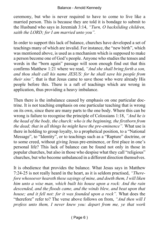ceremony, but who is never required to have to come to live like a married person. This is because they are told it is bondage to submit to the Husband who says in Jeremiah 3:14, *"Turn, O backsliding children, saith the LORD; for I am married unto you".*

In order to support this lack of balance, churches have developed a set of teachings many of which are invalid. For instance, the "new birth", which was mentioned above, is used as a mechanism which is supposed to make a person become one of God's people. Anyone who studies the tenses and words in the "born again" passage will soon enough find out that this confirms Matthew 1:21 where we read, *"And she shall bring forth a son, and thou shalt call his name JESUS: for he shall save his people from their sins",* that is that Jesus came to save those who were already His people before this. There is a raft of teachings which are wrong in application, thus providing a heavy imbalance.

Then there is the imbalance caused by emphasis on one particular doctrine. It is not teaching emphasis on one particular teaching that is wrong on its own, since there are many parts to the one body. Where this can be wrong is failure to recognise the principle of Colossians 1:18, *"And he is the head of the body, the church: who is the beginning, the firstborn from the dead; that in all things he might have the pre-eminence".* What use is there in holding to group loyalty, to a prophetical position, to a "National Message", to "Identity", or to teachings such as a "Rapture" doctrine, or to some creed, without giving Jesus pre-eminence, or first place in one's personal life? This lack of balance can be found not only in those in popular churches, but also in those who despise what they call "religious" churches, but who become unbalanced in a different direction themselves.

It is obedience that provides the balance. What Jesus says in Matthew 7:24-25 is not really heard in the heart, as it is seldom practised, *"Therefore whosoever heareth these sayings of mine, and doeth them, I will liken him unto a wise man, which built his house upon a rock: And the rain descended, and the floods came, and the winds blew, and beat upon that house; and it fell not: for it was founded upon a rock".* What does the "therefore" refer to? The verse above follows on from, *"And then will I profess unto them, I never knew you: depart from me, ye that work*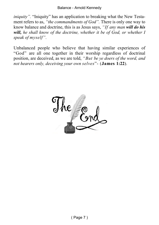*iniquity"*. "Iniquity" has an application to breaking what the New Testament refers to as, *"the commandments of God".* There is only one way to know balance and doctrine, this is as Jesus says, *"If any man will do his will, he shall know of the doctrine, whether it be of God, or whether I speak of myself".*

Unbalanced people who believe that having similar experiences of "God" are all one together in their worship regardless of doctrinal position, are deceived, as we are told, *"But be ye doers of the word, and not hearers only, deceiving your own selves*"- (**James 1:22**).